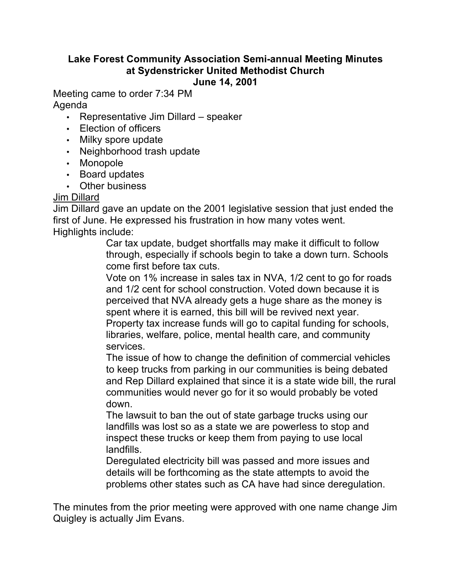#### **Lake Forest Community Association Semi-annual Meeting Minutes at Sydenstricker United Methodist Church June 14, 2001**

Meeting came to order 7:34 PM Agenda

- Representative Jim Dillard speaker
- Election of officers
- Milky spore update
- Neighborhood trash update
- Monopole
- Board updates
- Other business

## Jim Dillard

Jim Dillard gave an update on the 2001 legislative session that just ended the first of June. He expressed his frustration in how many votes went. Highlights include:

Car tax update, budget shortfalls may make it difficult to follow through, especially if schools begin to take a down turn. Schools come first before tax cuts.

Vote on 1% increase in sales tax in NVA, 1/2 cent to go for roads and 1/2 cent for school construction. Voted down because it is perceived that NVA already gets a huge share as the money is spent where it is earned, this bill will be revived next year. Property tax increase funds will go to capital funding for schools, libraries, welfare, police, mental health care, and community services.

The issue of how to change the definition of commercial vehicles to keep trucks from parking in our communities is being debated and Rep Dillard explained that since it is a state wide bill, the rural communities would never go for it so would probably be voted down.

The lawsuit to ban the out of state garbage trucks using our landfills was lost so as a state we are powerless to stop and inspect these trucks or keep them from paying to use local landfills.

Deregulated electricity bill was passed and more issues and details will be forthcoming as the state attempts to avoid the problems other states such as CA have had since deregulation.

The minutes from the prior meeting were approved with one name change Jim Quigley is actually Jim Evans.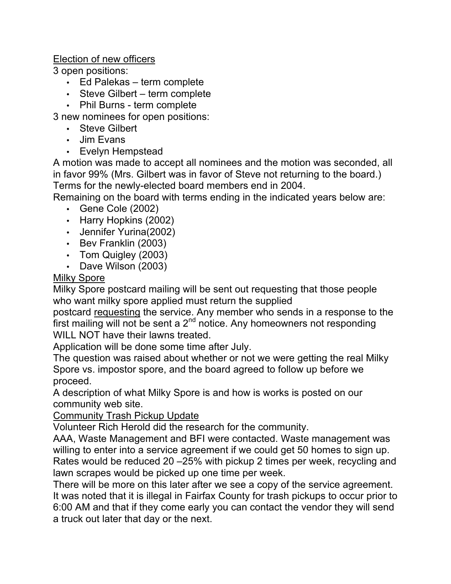## Election of new officers

3 open positions:

- Ed Palekas term complete
- Steve Gilbert term complete
- Phil Burns term complete

3 new nominees for open positions:

- Steve Gilbert
- Jim Evans
- Evelyn Hempstead

A motion was made to accept all nominees and the motion was seconded, all in favor 99% (Mrs. Gilbert was in favor of Steve not returning to the board.) Terms for the newly-elected board members end in 2004.

Remaining on the board with terms ending in the indicated years below are:

- Gene Cole (2002)
- Harry Hopkins (2002)
- Jennifer Yurina(2002)
- Bev Franklin (2003)
- Tom Quigley (2003)
- Dave Wilson (2003)

# Milky Spore

Milky Spore postcard mailing will be sent out requesting that those people who want milky spore applied must return the supplied

postcard requesting the service. Any member who sends in a response to the first mailing will not be sent a  $2<sup>nd</sup>$  notice. Any homeowners not responding WILL NOT have their lawns treated.

Application will be done some time after July.

The question was raised about whether or not we were getting the real Milky Spore vs. impostor spore, and the board agreed to follow up before we proceed.

A description of what Milky Spore is and how is works is posted on our community web site.

# Community Trash Pickup Update

Volunteer Rich Herold did the research for the community.

AAA, Waste Management and BFI were contacted. Waste management was willing to enter into a service agreement if we could get 50 homes to sign up. Rates would be reduced 20 –25% with pickup 2 times per week, recycling and lawn scrapes would be picked up one time per week.

There will be more on this later after we see a copy of the service agreement. It was noted that it is illegal in Fairfax County for trash pickups to occur prior to 6:00 AM and that if they come early you can contact the vendor they will send a truck out later that day or the next.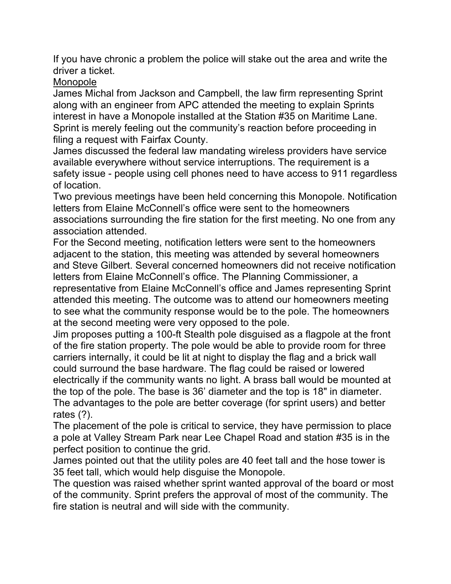If you have chronic a problem the police will stake out the area and write the driver a ticket.

## Monopole

James Michal from Jackson and Campbell, the law firm representing Sprint along with an engineer from APC attended the meeting to explain Sprints interest in have a Monopole installed at the Station #35 on Maritime Lane. Sprint is merely feeling out the community's reaction before proceeding in filing a request with Fairfax County.

James discussed the federal law mandating wireless providers have service available everywhere without service interruptions. The requirement is a safety issue - people using cell phones need to have access to 911 regardless of location.

Two previous meetings have been held concerning this Monopole. Notification letters from Elaine McConnell's office were sent to the homeowners associations surrounding the fire station for the first meeting. No one from any association attended.

For the Second meeting, notification letters were sent to the homeowners adjacent to the station, this meeting was attended by several homeowners and Steve Gilbert. Several concerned homeowners did not receive notification letters from Elaine McConnell's office. The Planning Commissioner, a representative from Elaine McConnell's office and James representing Sprint attended this meeting. The outcome was to attend our homeowners meeting to see what the community response would be to the pole. The homeowners at the second meeting were very opposed to the pole.

Jim proposes putting a 100-ft Stealth pole disguised as a flagpole at the front of the fire station property. The pole would be able to provide room for three carriers internally, it could be lit at night to display the flag and a brick wall could surround the base hardware. The flag could be raised or lowered electrically if the community wants no light. A brass ball would be mounted at the top of the pole. The base is 36' diameter and the top is 18" in diameter. The advantages to the pole are better coverage (for sprint users) and better rates (?).

The placement of the pole is critical to service, they have permission to place a pole at Valley Stream Park near Lee Chapel Road and station #35 is in the perfect position to continue the grid.

James pointed out that the utility poles are 40 feet tall and the hose tower is 35 feet tall, which would help disguise the Monopole.

The question was raised whether sprint wanted approval of the board or most of the community. Sprint prefers the approval of most of the community. The fire station is neutral and will side with the community.